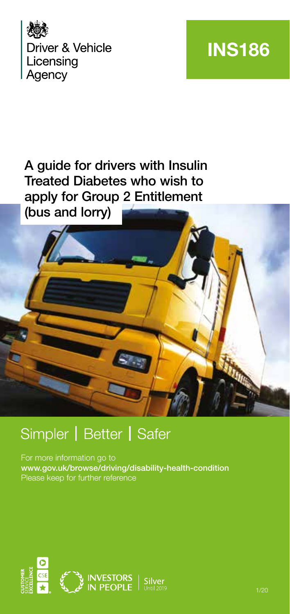

## **INS186**

#### A guide for drivers with Insulin Treated Diabetes who wish to apply for Group 2 Entitlement (bus and lorry)



### Simpler | Better | Safer

For more information go to www.gov.uk/browse/driving/disability-health-condition Please keep for further reference

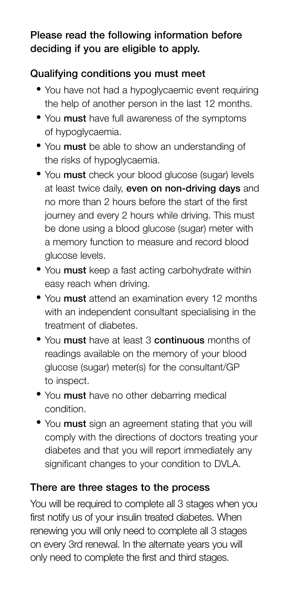#### Please read the following information before deciding if you are eligible to apply.

#### Qualifying conditions you must meet

- You have not had a hypoglycaemic event requiring the help of another person in the last 12 months.
- You must have full awareness of the symptoms of hypoglycaemia.
- You must be able to show an understanding of the risks of hypoglycaemia.
- You must check your blood glucose (sugar) levels at least twice daily, even on non-driving days and no more than 2 hours before the start of the first journey and every 2 hours while driving. This must be done using a blood glucose (sugar) meter with a memory function to measure and record blood glucose levels.
- You must keep a fast acting carbohydrate within easy reach when driving.
- You must attend an examination every 12 months with an independent consultant specialising in the treatment of diabetes.
- You must have at least 3 continuous months of readings available on the memory of your blood glucose (sugar) meter(s) for the consultant/GP to inspect.
- You must have no other debarring medical condition.
- You must sign an agreement stating that you will comply with the directions of doctors treating your diabetes and that you will report immediately any significant changes to your condition to DVLA.

#### There are three stages to the process

You will be required to complete all 3 stages when you first notify us of your insulin treated diabetes. When renewing you will only need to complete all 3 stages on every 3rd renewal. In the alternate years you will only need to complete the first and third stages.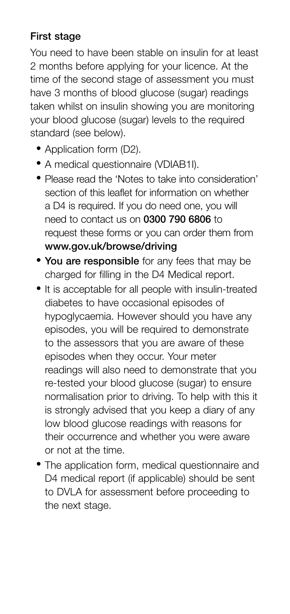#### First stage

You need to have been stable on insulin for at least 2 months before applying for your licence. At the time of the second stage of assessment you must have 3 months of blood glucose (sugar) readings taken whilst on insulin showing you are monitoring your blood glucose (sugar) levels to the required standard (see below).

- Application form (D2).
- A medical questionnaire (VDIAB1I).
- Please read the 'Notes to take into consideration' section of this leaflet for information on whether a D4 is required. If you do need one, you will need to contact us on 0300 790 6806 to request these forms or you can order them from www.gov.uk/browse/driving
- You are responsible for any fees that may be charged for filling in the D4 Medical report.
- It is acceptable for all people with insulin-treated diabetes to have occasional episodes of hypoglycaemia. However should you have any episodes, you will be required to demonstrate to the assessors that you are aware of these episodes when they occur. Your meter readings will also need to demonstrate that you re-tested your blood glucose (sugar) to ensure normalisation prior to driving. To help with this it is strongly advised that you keep a diary of any low blood glucose readings with reasons for their occurrence and whether you were aware or not at the time.
- The application form, medical questionnaire and D4 medical report (if applicable) should be sent to DVLA for assessment before proceeding to the next stage.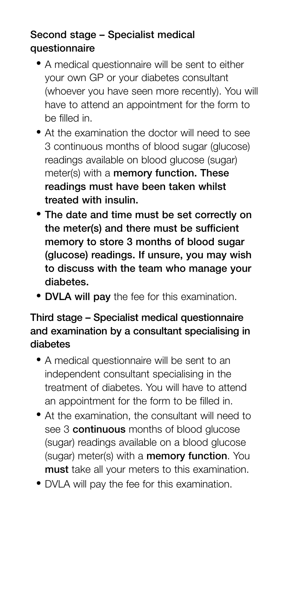#### Second stage – Specialist medical questionnaire

- A medical questionnaire will be sent to either your own GP or your diabetes consultant (whoever you have seen more recently). You will have to attend an appointment for the form to be filled in.
- At the examination the doctor will need to see 3 continuous months of blood sugar (glucose) readings available on blood glucose (sugar) meter(s) with a memory function. These readings must have been taken whilst treated with insulin.
- The date and time must be set correctly on the meter(s) and there must be sufficient memory to store 3 months of blood sugar (glucose) readings. If unsure, you may wish to discuss with the team who manage your diabetes.
- DVLA will pay the fee for this examination.

#### Third stage – Specialist medical questionnaire and examination by a consultant specialising in diabetes

- A medical questionnaire will be sent to an independent consultant specialising in the treatment of diabetes. You will have to attend an appointment for the form to be filled in.
- At the examination, the consultant will need to see 3 **continuous** months of blood glucose (sugar) readings available on a blood glucose (sugar) meter(s) with a memory function. You must take all your meters to this examination.
- DVLA will pay the fee for this examination.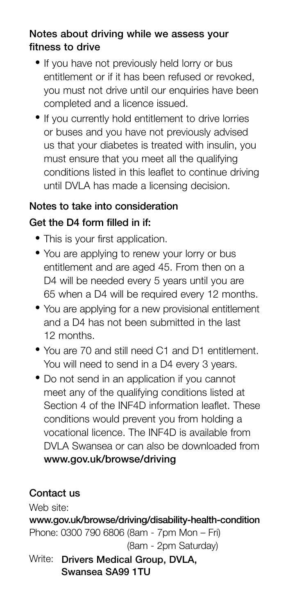#### Notes about driving while we assess your fitness to drive

- If you have not previously held lorry or bus entitlement or if it has been refused or revoked, you must not drive until our enquiries have been completed and a licence issued.
- If you currently hold entitlement to drive lorries or buses and you have not previously advised us that your diabetes is treated with insulin, you must ensure that you meet all the qualifying conditions listed in this leaflet to continue driving until DVLA has made a licensing decision.

#### Notes to take into consideration

#### Get the D4 form filled in if:

- This is your first application.
- You are applying to renew your lorry or bus entitlement and are aged 45. From then on a D4 will be needed every 5 years until you are 65 when a D4 will be required every 12 months.
- You are applying for a new provisional entitlement and a D4 has not been submitted in the last 12 months.
- You are 70 and still need C1 and D1 entitlement. You will need to send in a D4 every 3 years.
- Do not send in an application if you cannot meet any of the qualifying conditions listed at Section 4 of the INF4D information leaflet. These conditions would prevent you from holding a vocational licence. The INF4D is available from DVLA Swansea or can also be downloaded from www.gov.uk/browse/driving

#### Contact us

Web site:

www.gov.uk/browse/driving/disability-health-condition Phone: 0300 790 6806 (8am - 7pm Mon – Fri) (8am - 2pm Saturday) Write: Drivers Medical Group, DVLA.

Swansea SA99 1TU